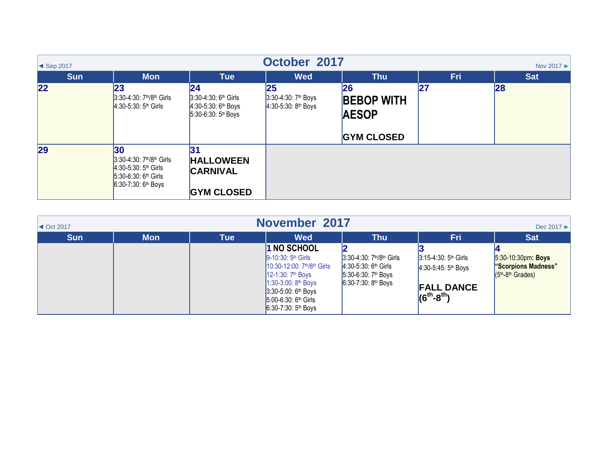| October 2017<br>$\blacktriangleleft$ Sep 2017<br>Nov 2017 ▶ |                                                                                                                                  |                                                                                           |                                                                      |                                                                     |            |            |  |
|-------------------------------------------------------------|----------------------------------------------------------------------------------------------------------------------------------|-------------------------------------------------------------------------------------------|----------------------------------------------------------------------|---------------------------------------------------------------------|------------|------------|--|
| <b>Sun</b>                                                  | <b>Mon</b>                                                                                                                       | <b>Tue</b>                                                                                | <b>Wed</b>                                                           | <b>Thu</b>                                                          | <b>Fri</b> | <b>Sat</b> |  |
| 22                                                          | 23<br>3:30-4:30: 7 <sup>th</sup> /8 <sup>th</sup> Girls<br>4:30-5:30: 5 <sup>th</sup> Girls                                      | 24<br>$3:30-4:30$ : 6 <sup>th</sup> Girls<br>$4:30-5:30:6th Boys$<br>$5:30-6:30:5th Boys$ | <b>25</b><br>3:30-4:30: 7 <sup>th</sup> Boys<br>$4:30-5:30:8th$ Boys | <b>26</b><br><b>BEBOP WITH</b><br><b>AESOP</b><br><b>GYM CLOSED</b> | 27         | 28         |  |
| 29                                                          | 30<br>3:30-4:30: 7 <sup>th</sup> /8 <sup>th</sup> Girls<br>$4:30-5:30:5th Girls$<br>$5:30-6:30:6th Girls$<br>6:30-7:30: 6th Boys | 31<br><b>HALLOWEEN</b><br><b>CARNIVAL</b><br><b>GYM CLOSED</b>                            |                                                                      |                                                                     |            |            |  |

| November 2017<br>Dec 2017 $\blacktriangleright$<br>$\blacktriangleleft$ Oct 2017 |            |            |                                                                                                                                                                                                             |                                                                                                                                                     |                                                                                                                 |                                                                 |  |
|----------------------------------------------------------------------------------|------------|------------|-------------------------------------------------------------------------------------------------------------------------------------------------------------------------------------------------------------|-----------------------------------------------------------------------------------------------------------------------------------------------------|-----------------------------------------------------------------------------------------------------------------|-----------------------------------------------------------------|--|
| <b>Sun</b>                                                                       | <b>Mon</b> | <b>Tue</b> | <b>Wed</b>                                                                                                                                                                                                  | <b>Thu</b>                                                                                                                                          | Fri                                                                                                             | <b>Sat</b>                                                      |  |
|                                                                                  |            |            | 1 NO SCHOOL<br>$9 - 10:30:5th$ Girls<br>$10:30-12:00$ : $7th/8th$ Girls<br>12-1:30: 7 <sup>th</sup> Boys<br>$1:30-3:00:8th$ Boys<br>$3:30-5:00:6th$ Boys<br>$15:00-6:30:6th$ Girls<br>6:30-7:30: $5th$ Boys | 3:30-4:30: 7 <sup>th</sup> /8 <sup>th</sup> Girls<br>$4:30-5:30$ : 6 <sup>th</sup> Girls<br>5:30-6:30: 7 <sup>th</sup> Boys<br>$6:30-7:30:8th$ Boys | 3:15-4:30: 5 <sup>th</sup> Girls<br>4:30-5:45: 5 <sup>th</sup> Boys<br><b>FALL DANCE</b><br>$(6^{th} - 8^{th})$ | 5:30-10:30pm: Boys<br>"Scorpions Madness"<br>$(5th-8th Grades)$ |  |